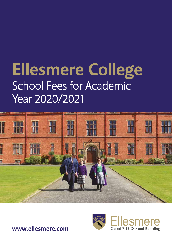# **Ellesmere College** School Fees for Academic Year 2020/2021





**www.ellesmere.com**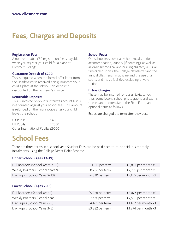## **Fees, Charges and Deposits**

#### **Registration Fee:**

A non-returnable £50 registration fee is payable when you register your child for a place at Ellesmere College.

#### **Guarantee Deposit of £200:**

This is required when the formal offer letter from the Headmaster is received; this guarantees your child a place at the school. This deposit is discounted on the first term's invoice.

#### **Returnable Deposit:**

This is invoiced on your first term's account but is not counted against your school fees. This amount is refunded on the final invoice after your child leaves the school.

#### **School Fees:**

Our school fees cover all school meals, tuition, accommodation, laundry (if boarding), as well as all ordinary medical and nursing charges, Wi-Fi, all timetabled sports, the College Newsletter and the annual Ellesmerian magazine and the use of all sports and music facilities, excluding private tuition.

#### **Extras Charges:**

These may be incurred for buses, taxis, school trips, some books, school photographs and exams (these can be extensive in the Sixth Form) and optional items as follows.

#### Extras are charged the term after they occur.

| UK Pupils:                        | £400  |
|-----------------------------------|-------|
| EU Pupils:                        | £2000 |
| Other International Pupils: £9000 |       |

### **School Fees**

There are three terms in a school year. Student Fees can be paid each term, or paid in 3 monthly instalments using the College Direct Debit Scheme.

#### **Upper School: (Ages 13-19)**

| Full Boarders (School Years 9-13)   | £11,511 per term | £3,837 per month x3   |
|-------------------------------------|------------------|-----------------------|
| Weekly Boarders (School Years 9-13) | £8,217 per term  | £2,739 per month x3   |
| Day Pupils (School Years 9-13)      | £6,330 per term  | £2,110 per month x3   |
|                                     |                  |                       |
| Lower School: (Ages 7-13)           |                  |                       |
| Full Boarders (School Year 8)       | £9,228 per term  | £3,076 per month x3   |
| Weekly Boarders (School Year 8)     | £7,794 per term  | £2,598 per month x3   |
| Day Pupils (School Years 6-8)       | £4,461 per term  | £1,487 per month $x3$ |
| Day Pupils (School Years 3-5)       | £3,882 per term  | £1,294 per month $x3$ |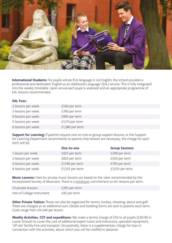

**International Students:** For pupils whose first language is not English, the school provides a professional and dedicated 'English as an Additional Language' (EAL) service. This is fully integrated into the weekly timetable. Upon arrival each pupil is assessed and an appropriate programme of EAL lessons recommended.

#### **EAL Fees:**

| 2 lessons per week | £540 per term   |
|--------------------|-----------------|
| 3 lessons per week | £780 per term   |
| 4 lessons per week | £995 per term   |
| 5 lessons per week | £1,175 per term |
| 6 lessons per week | £1,380 per term |

**Support for Learning:** If parents request one-to-one or group support lessons, or the Support for Learning Department recommends to parents that lessons are necessary, the charge for each term will be:

|                    | One-to-one      | <b>Group Sessions</b> |
|--------------------|-----------------|-----------------------|
| 1 lesson per week  | £425 per term   | £299 per term         |
| 2 lessons per week | £825 per term   | £550 per term         |
| 3 lessons per week | £1,199 per term | £795 per term         |
| 4 lessons per week | £1,555 per term | £1,010 per term       |

**Music Lessons:** Fees for private music lessons are based on the rates recommended by the Incorporated Society of Musicians. There is a minimum commitment to ten lessons per term.

| 10 private lessons         | £295 per term |
|----------------------------|---------------|
| Hire of College Instrument | £95 per term  |

**Other Private Tuition:** These can also be organised for tennis, hockey, shooting, dance and golf. These are charged as an additional sum. Details and booking forms are sent to parents each term. Costs range from £9-£40 per lesson.

**Weekly Activities, CCF and expeditions:** We make a termly charge of £50 to all pupils (£30/40 in Lower School) to cover the cost of additional expert tutors and instructors, specialist equipment, 'off site' facility hire and transport. Occasionally, there is a supplementary charge for trips in connection with the activities, about which you will be notified in advance.